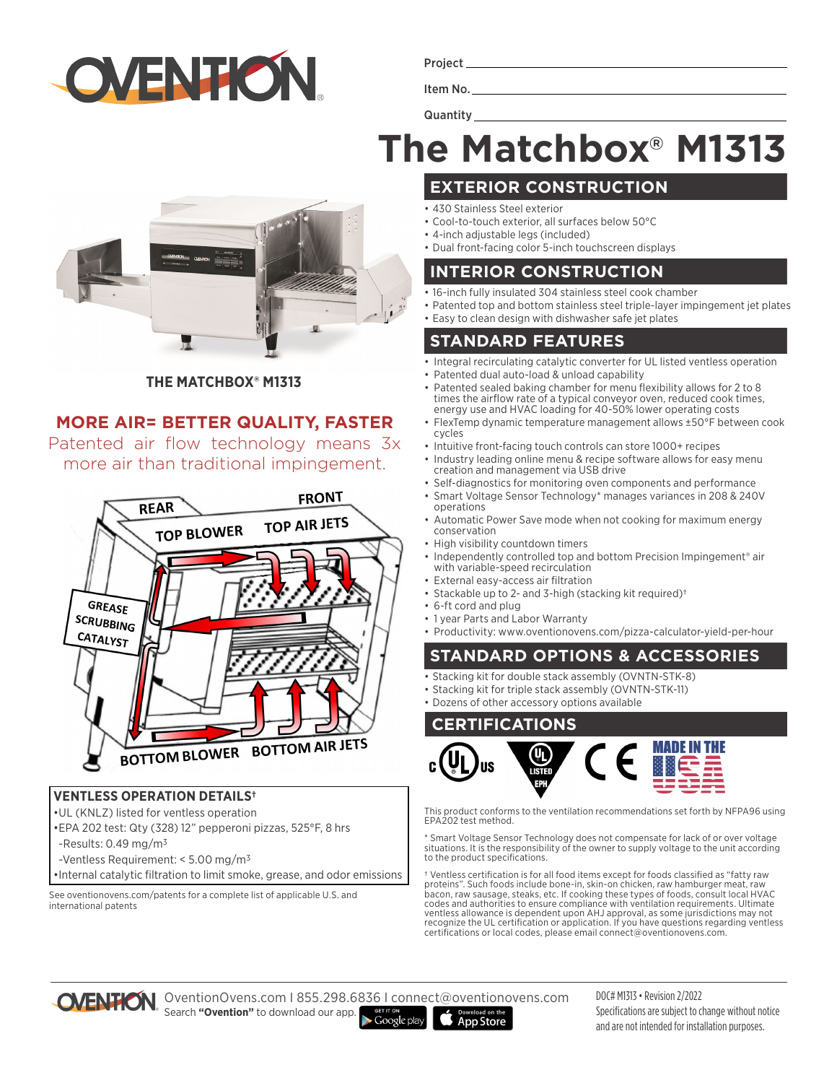

Project

Item No.

**Quantity** 

# **The Matchbox® M1313**

**THE MATCHBOX® M1313**

### **MORE AIR= BETTER QUALITY, FASTER**

Patented air flow technology means 3x more air than traditional impingement.



#### **VENTLESS OPERATION DETAILS†**

- •UL (KNLZ) listed for ventless operation
- •EPA 202 test: Qty (328) 12" pepperoni pizzas, 525°F, 8 hrs
- -Results:  $0.49$  mg/m<sup>3</sup>
- -Ventless Requirement: < 5.00 mg/m3
- •Internal catalytic filtration to limit smoke, grease, and odor emissions

See oventionovens.com/patents for a complete list of applicable U.S. and international patents

- **EXTERIOR CONSTRUCTION**
- 430 Stainless Steel exterior
- Cool-to-touch exterior, all surfaces below 50°C
- 4-inch adjustable legs (included)
- Dual front-facing color 5-inch touchscreen displays

#### **INTERIOR CONSTRUCTION**

- 16-inch fully insulated 304 stainless steel cook chamber
- Patented top and bottom stainless steel triple-layer impingement jet plates
- Easy to clean design with dishwasher safe jet plates

#### **STANDARD FEATURES**

- Integral recirculating catalytic converter for UL listed ventless operation Patented dual auto-load & unload capability
- Patented sealed baking chamber for menu flexibility allows for 2 to 8 times the airflow rate of a typical conveyor oven, reduced cook times, energy use and HVAC loading for 40-50% lower operating costs
- FlexTemp dynamic temperature management allows ±50°F between cook cycles
- Intuitive front-facing touch controls can store 1000+ recipes
- Industry leading online menu & recipe software allows for easy menu creation and management via USB drive
- Self-diagnostics for monitoring oven components and performance
- Smart Voltage Sensor Technology\* manages variances in 208 & 240V operations
- Automatic Power Save mode when not cooking for maximum energy conservation
- High visibility countdown timers
- Independently controlled top and bottom Precision Impingement<sup>®</sup> air with variable-speed recirculation
- External easy-access air filtration
- Stackable up to 2- and 3-high (stacking kit required)†
- 6-ft cord and plug
- 1 year Parts and Labor Warranty
- Productivity: www.oventionovens.com/pizza-calculator-yield-per-hour

#### **STANDARD OPTIONS & ACCESSORIES**

- Stacking kit for double stack assembly (OVNTN-STK-8)
- Stacking kit for triple stack assembly (OVNTN-STK-11)
- Dozens of other accessory options available

#### **CERTIFICATIONS**



This product conforms to the ventilation recommendations set forth by NFPA96 using EPA202 test method.

\* Smart Voltage Sensor Technology does not compensate for lack of or over voltage situations. It is the responsibility of the owner to supply voltage to the unit according to the product specifications.

† Ventless certification is for all food items except for foods classified as "fatty raw proteins". Such foods include bone-in, skin-on chicken, raw hamburger meat, raw bacon, raw sausage, steaks, etc. If cooking these types of foods, consult local HVAC codes and authorities to ensure compliance with ventilation requirements. Ultimate ventless allowance is dependent upon AHJ approval, as some jurisdictions may not recognize the UL certification or application. If you have questions regarding ventless certifications or local codes, please email connect@oventionovens.com.



OventionOvens.com I 855.298.6836 I connect@oventionovens.com Search **"Ovention"** to download our app.  $\blacktriangleright$  Google play **App Store** 

DOC# M1313 • Revision 2/2022 Specifications are subject to change without notice and are not intended for installation purposes.